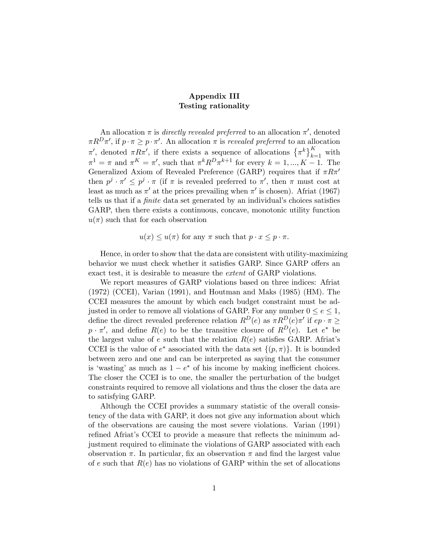## Appendix III Testing rationality

An allocation  $\pi$  is *directly revealed preferred* to an allocation  $\pi'$ , denoted  $\pi R^D \pi'$ , if  $p \cdot \pi \geq p \cdot \pi'$ . An allocation  $\pi$  is revealed preferred to an allocation  $π'$ , denoted  $πRπ'$ , if there exists a sequence of allocations  $\{π^k\}_{k=1}^K$  with  $\pi^1 = \pi$  and  $\pi^K = \pi'$ , such that  $\pi^k R^D \pi^{k+1}$  for every  $k = 1, ..., K - 1$ . The Generalized Axiom of Revealed Preference (GARP) requires that if  $\pi R \pi$ <sup>1</sup> then  $p^j \cdot \pi' \leq p^j \cdot \pi$  (if  $\pi$  is revealed preferred to  $\pi'$ , then  $\pi$  must cost at least as much as  $\pi'$  at the prices prevailing when  $\pi'$  is chosen). Africat (1967) tells us that if a finite data set generated by an individual's choices satisfies GARP, then there exists a continuous, concave, monotonic utility function  $u(\pi)$  such that for each observation

 $u(x) \leq u(\pi)$  for any  $\pi$  such that  $p \cdot x \leq p \cdot \pi$ .

Hence, in order to show that the data are consistent with utility-maximizing behavior we must check whether it satisfies GARP. Since GARP offers an exact test, it is desirable to measure the extent of GARP violations.

We report measures of GARP violations based on three indices: Afriat (1972) (CCEI), Varian (1991), and Houtman and Maks (1985) (HM). The CCEI measures the amount by which each budget constraint must be adjusted in order to remove all violations of GARP. For any number  $0 \le e \le 1$ , define the direct revealed preference relation  $R^D(e)$  as  $\pi R^D(e)\pi'$  if  $ep \cdot \pi \geq 0$  $p \cdot \pi'$ , and define  $R(e)$  to be the transitive closure of  $R^D(e)$ . Let  $e^*$  be the largest value of e such that the relation  $R(e)$  satisfies GARP. Africat's CCEI is the value of  $e^*$  associated with the data set  $\{(p,\pi)\}\$ . It is bounded between zero and one and can be interpreted as saying that the consumer is 'wasting' as much as  $1 - e^*$  of his income by making inefficient choices. The closer the CCEI is to one, the smaller the perturbation of the budget constraints required to remove all violations and thus the closer the data are to satisfying GARP.

Although the CCEI provides a summary statistic of the overall consistency of the data with GARP, it does not give any information about which of the observations are causing the most severe violations. Varian (1991) refined Afriat's CCEI to provide a measure that reflects the minimum adjustment required to eliminate the violations of GARP associated with each observation  $\pi$ . In particular, fix an observation  $\pi$  and find the largest value of e such that  $R(e)$  has no violations of GARP within the set of allocations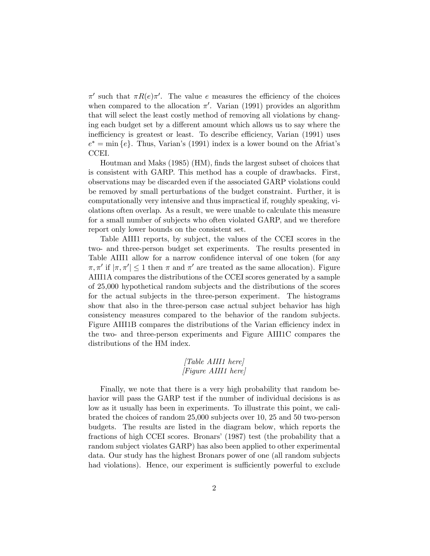$\pi'$  such that  $\pi R(e)\pi'$ . The value e measures the efficiency of the choices when compared to the allocation  $\pi'$ . Varian (1991) provides an algorithm that will select the least costly method of removing all violations by changing each budget set by a different amount which allows us to say where the inefficiency is greatest or least. To describe efficiency, Varian (1991) uses  $e^* = \min\{e\}.$  Thus, Varian's (1991) index is a lower bound on the Africat's CCEI.

Houtman and Maks (1985) (HM), finds the largest subset of choices that is consistent with GARP. This method has a couple of drawbacks. First, observations may be discarded even if the associated GARP violations could be removed by small perturbations of the budget constraint. Further, it is computationally very intensive and thus impractical if, roughly speaking, violations often overlap. As a result, we were unable to calculate this measure for a small number of subjects who often violated GARP, and we therefore report only lower bounds on the consistent set.

Table AIII1 reports, by subject, the values of the CCEI scores in the two- and three-person budget set experiments. The results presented in Table AIII1 allow for a narrow confidence interval of one token (for any  $\pi, \pi'$  if  $|\pi, \pi'| \leq 1$  then  $\pi$  and  $\pi'$  are treated as the same allocation). Figure AIII1A compares the distributions of the CCEI scores generated by a sample of 25,000 hypothetical random subjects and the distributions of the scores for the actual subjects in the three-person experiment. The histograms show that also in the three-person case actual subject behavior has high consistency measures compared to the behavior of the random subjects. Figure AIII1B compares the distributions of the Varian efficiency index in the two- and three-person experiments and Figure AIII1C compares the distributions of the HM index.

## [Table AIII1 here] [Figure AIII1 here]

Finally, we note that there is a very high probability that random behavior will pass the GARP test if the number of individual decisions is as low as it usually has been in experiments. To illustrate this point, we calibrated the choices of random 25,000 subjects over 10, 25 and 50 two-person budgets. The results are listed in the diagram below, which reports the fractions of high CCEI scores. Bronars' (1987) test (the probability that a random subject violates GARP) has also been applied to other experimental data. Our study has the highest Bronars power of one (all random subjects had violations). Hence, our experiment is sufficiently powerful to exclude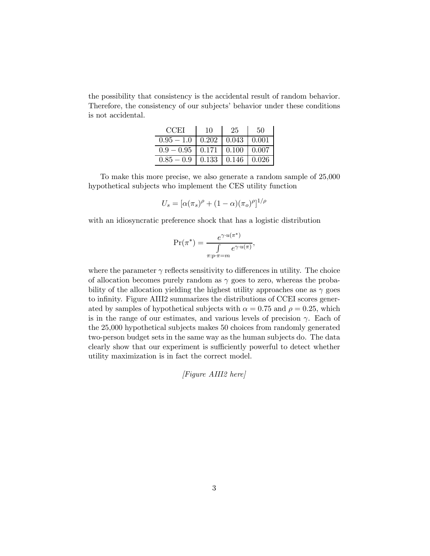the possibility that consistency is the accidental result of random behavior. Therefore, the consistency of our subjects' behavior under these conditions is not accidental.

| CCET         | 10    | 25           | 50    |  |
|--------------|-------|--------------|-------|--|
| $0.95 - 1.0$ | 0.202 | 0.043        | 0.001 |  |
| $0.9 - 0.95$ | 0.171 | $\mid 0.100$ | 0.007 |  |
| $0.85 - 0.9$ | 0.133 | 0.146        | 0.026 |  |

To make this more precise, we also generate a random sample of 25,000 hypothetical subjects who implement the CES utility function

$$
U_s = [\alpha(\pi_s)^\rho + (1-\alpha)(\pi_o)^\rho]^{1/\rho}
$$

with an idiosyncratic preference shock that has a logistic distribution

$$
\Pr(\pi^*) = \frac{e^{\gamma \cdot u(\pi^*)}}{\int \limits_{\pi: p \cdot \pi = m} e^{\gamma \cdot u(\pi)}},
$$

where the parameter  $\gamma$  reflects sensitivity to differences in utility. The choice of allocation becomes purely random as  $\gamma$  goes to zero, whereas the probability of the allocation yielding the highest utility approaches one as  $\gamma$  goes to infinity. Figure AIII2 summarizes the distributions of CCEI scores generated by samples of hypothetical subjects with  $\alpha = 0.75$  and  $\rho = 0.25$ , which is in the range of our estimates, and various levels of precision  $\gamma$ . Each of the 25,000 hypothetical subjects makes 50 choices from randomly generated two-person budget sets in the same way as the human subjects do. The data clearly show that our experiment is sufficiently powerful to detect whether utility maximization is in fact the correct model.

[Figure AIII2 here]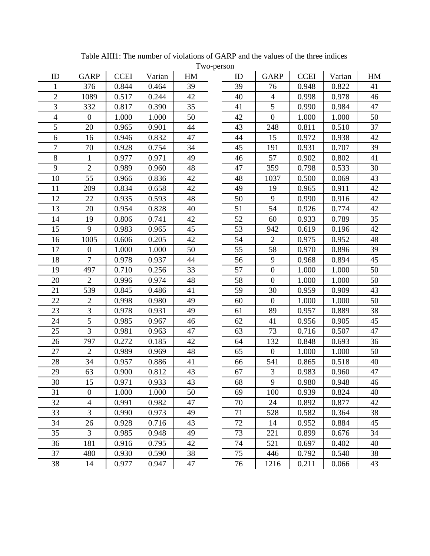| ID               | <b>GARP</b>      | <b>CCEI</b> | Varian | HM | $1 \le y \le p$ | ID | <b>GARP</b>      | <b>CCEI</b> | Varian | HM |
|------------------|------------------|-------------|--------|----|-----------------|----|------------------|-------------|--------|----|
| 1                | 376              | 0.844       | 0.464  | 39 |                 | 39 | 76               | 0.948       | 0.822  | 41 |
| $\overline{2}$   | 1089             | 0.517       | 0.244  | 42 |                 | 40 | $\overline{4}$   | 0.998       | 0.978  | 46 |
| $\overline{3}$   | 332              | 0.817       | 0.390  | 35 |                 | 41 | 5                | 0.990       | 0.984  | 47 |
| 4                | $\boldsymbol{0}$ | 1.000       | 1.000  | 50 |                 | 42 | $\boldsymbol{0}$ | 1.000       | 1.000  | 50 |
| 5                | 20               | 0.965       | 0.901  | 44 |                 | 43 | 248              | 0.811       | 0.510  | 37 |
| 6                | 16               | 0.946       | 0.832  | 47 |                 | 44 | 15               | 0.972       | 0.938  | 42 |
| $\boldsymbol{7}$ | 70               | 0.928       | 0.754  | 34 |                 | 45 | 191              | 0.931       | 0.707  | 39 |
| 8                | 1                | 0.977       | 0.971  | 49 |                 | 46 | 57               | 0.902       | 0.802  | 41 |
| 9                | $\overline{2}$   | 0.989       | 0.960  | 48 |                 | 47 | 359              | 0.798       | 0.533  | 30 |
| 10               | 55               | 0.966       | 0.836  | 42 |                 | 48 | 1037             | 0.500       | 0.069  | 43 |
| 11               | 209              | 0.834       | 0.658  | 42 |                 | 49 | 19               | 0.965       | 0.911  | 42 |
| 12               | 22               | 0.935       | 0.593  | 48 |                 | 50 | 9                | 0.990       | 0.916  | 42 |
| 13               | 20               | 0.954       | 0.828  | 40 |                 | 51 | 54               | 0.926       | 0.774  | 42 |
| 14               | 19               | 0.806       | 0.741  | 42 |                 | 52 | 60               | 0.933       | 0.789  | 35 |
| 15               | 9                | 0.983       | 0.965  | 45 |                 | 53 | 942              | 0.619       | 0.196  | 42 |
| 16               | 1005             | 0.606       | 0.205  | 42 |                 | 54 | $\overline{2}$   | 0.975       | 0.952  | 48 |
| 17               | $\boldsymbol{0}$ | 1.000       | 1.000  | 50 |                 | 55 | 58               | 0.970       | 0.896  | 39 |
| 18               | $\overline{7}$   | 0.978       | 0.937  | 44 |                 | 56 | 9                | 0.968       | 0.894  | 45 |
| 19               | 497              | 0.710       | 0.256  | 33 |                 | 57 | $\boldsymbol{0}$ | 1.000       | 1.000  | 50 |
| 20               | $\overline{2}$   | 0.996       | 0.974  | 48 |                 | 58 | $\boldsymbol{0}$ | 1.000       | 1.000  | 50 |
| 21               | 539              | 0.845       | 0.486  | 41 |                 | 59 | 30               | 0.959       | 0.909  | 43 |
| 22               | $\overline{2}$   | 0.998       | 0.980  | 49 |                 | 60 | $\boldsymbol{0}$ | 1.000       | 1.000  | 50 |
| 23               | 3                | 0.978       | 0.931  | 49 |                 | 61 | 89               | 0.957       | 0.889  | 38 |
| 24               | 5                | 0.985       | 0.967  | 46 |                 | 62 | 41               | 0.956       | 0.905  | 45 |
| 25               | 3                | 0.981       | 0.963  | 47 |                 | 63 | 73               | 0.716       | 0.507  | 47 |
| 26               | 797              | 0.272       | 0.185  | 42 |                 | 64 | 132              | 0.848       | 0.693  | 36 |
| 27               | $\overline{2}$   | 0.989       | 0.969  | 48 |                 | 65 | $\boldsymbol{0}$ | 1.000       | 1.000  | 50 |
| 28               | 34               | 0.957       | 0.886  | 41 |                 | 66 | 541              | 0.865       | 0.518  | 40 |
| 29               | 63               | 0.900       | 0.812  | 43 |                 | 67 | 3                | 0.983       | 0.960  | 47 |
| 30               | 15               | 0.971       | 0.933  | 43 |                 | 68 | $\overline{9}$   | 0.980       | 0.948  | 46 |
| 31               | $\boldsymbol{0}$ | 1.000       | 1.000  | 50 |                 | 69 | 100              | 0.939       | 0.824  | 40 |
| 32               | 4                | 0.991       | 0.982  | 47 |                 | 70 | 24               | 0.892       | 0.877  | 42 |
| 33               | 3                | 0.990       | 0.973  | 49 |                 | 71 | 528              | 0.582       | 0.364  | 38 |
| 34               | 26               | 0.928       | 0.716  | 43 |                 | 72 | 14               | 0.952       | 0.884  | 45 |
| 35               | 3                | 0.985       | 0.948  | 49 |                 | 73 | 221              | 0.899       | 0.676  | 34 |
| 36               | 181              | 0.916       | 0.795  | 42 |                 | 74 | 521              | 0.697       | 0.402  | 40 |
| 37               | 480              | 0.930       | 0.590  | 38 |                 | 75 | 446              | 0.792       | 0.540  | 38 |
| 38               | 14               | 0.977       | 0.947  | 47 |                 | 76 | 1216             | 0.211       | 0.066  | 43 |

Table AIII1: The number of violations of GARP and the values of the three indices

Two-person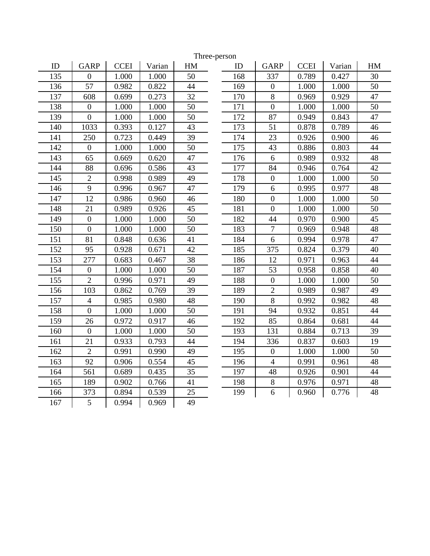| ID  | <b>GARP</b>      | <b>CCEI</b><br>Varian |       | HM |  |
|-----|------------------|-----------------------|-------|----|--|
| 135 | $\boldsymbol{0}$ | 1.000                 | 1.000 | 50 |  |
| 136 | 57               | 0.982                 | 0.822 | 44 |  |
| 137 | 608              | 0.699                 | 0.273 | 32 |  |
| 138 | $\boldsymbol{0}$ | 1.000                 | 1.000 | 50 |  |
| 139 | $\overline{0}$   | 1.000                 | 1.000 | 50 |  |
| 140 | 1033             | 0.393                 | 0.127 | 43 |  |
| 141 | 250              | 0.723                 | 0.449 | 39 |  |
| 142 | $\overline{0}$   | 1.000                 | 1.000 | 50 |  |
| 143 | 65               | 0.669                 | 0.620 | 47 |  |
| 144 | 88               | 0.696                 | 0.586 | 43 |  |
| 145 | $\overline{2}$   | 0.998                 | 0.989 | 49 |  |
| 146 | 9                | 0.996                 | 0.967 | 47 |  |
| 147 | 12               | 0.986                 | 0.960 | 46 |  |
| 148 | 21               | 0.989                 | 0.926 | 45 |  |
| 149 | $\overline{0}$   | 1.000                 | 1.000 | 50 |  |
| 150 | $\overline{0}$   | 1.000                 | 1.000 | 50 |  |
| 151 | 81               | 0.848                 | 0.636 | 41 |  |
| 152 | 95               | 0.928                 | 0.671 | 42 |  |
| 153 | 277              | 0.683                 | 0.467 | 38 |  |
| 154 | $\overline{0}$   | 1.000                 | 1.000 | 50 |  |
| 155 | $\overline{2}$   | 0.996                 | 0.971 | 49 |  |
| 156 | 103              | 0.862                 | 0.769 | 39 |  |
| 157 | $\overline{4}$   | 0.985                 | 0.980 | 48 |  |
| 158 | $\overline{0}$   | 1.000                 | 1.000 | 50 |  |
| 159 | 26               | 0.972                 | 0.917 | 46 |  |
| 160 | $\overline{0}$   | 1.000                 | 1.000 | 50 |  |
| 161 | 21               | 0.933<br>0.793        |       | 44 |  |
| 162 | $\overline{2}$   | 0.991                 | 0.990 | 49 |  |
| 163 | 92               | 0.906                 | 0.554 | 45 |  |
| 164 | 561              | 0.689                 | 0.435 | 35 |  |
| 165 | 189              | 0.902                 | 0.766 | 41 |  |
| 166 | 373              | 0.894                 | 0.539 | 25 |  |
| 167 | 5                | 0.994                 | 0.969 | 49 |  |
|     |                  |                       |       |    |  |

| ID             | <b>GARP</b>      | <b>CCEI</b> | Varian | HM         | ID  | <b>GARP</b>      | <b>CCEI</b> | Varian | HM |
|----------------|------------------|-------------|--------|------------|-----|------------------|-------------|--------|----|
| 135            | $\theta$         | 1.000       | 1.000  | 50         | 168 | 337              | 0.789       | 0.427  | 30 |
| 136            | 57               | 0.982       | 0.822  | 44         | 169 | $\overline{0}$   | 1.000       | 1.000  | 50 |
| 137            | 608              | 0.699       | 0.273  | 32         | 170 | 8                | 0.969       | 0.929  | 47 |
| 138            | $\boldsymbol{0}$ | 1.000       | 1.000  | 50         | 171 | $\boldsymbol{0}$ | 1.000       | 1.000  | 50 |
| 139            | $\boldsymbol{0}$ | 1.000       | 1.000  | 50         | 172 | 87               | 0.949       | 0.843  | 47 |
| 140            | 1033             | 0.393       | 0.127  | 43         | 173 | 51               | 0.878       | 0.789  | 46 |
| 141            | 250              | 0.723       | 0.449  | 39         | 174 | 23               | 0.926       | 0.900  | 46 |
| 142            | $\overline{0}$   | 1.000       | 1.000  | 50         | 175 | 43               | 0.886       | 0.803  | 44 |
| 143            | 65               | 0.669       | 0.620  | 47         | 176 | 6                | 0.989       | 0.932  | 48 |
| 144            | 88               | 0.696       | 0.586  | 43         | 177 | 84               | 0.946       | 0.764  | 42 |
| 145            | $\overline{2}$   | 0.998       | 0.989  | 49         | 178 | $\overline{0}$   | 1.000       | 1.000  | 50 |
| 146            | 9                | 0.996       | 0.967  | 47         | 179 | 6                | 0.995       | 0.977  | 48 |
| 147            | 12               | 0.986       | 0.960  | 46         | 180 | $\boldsymbol{0}$ | 1.000       | 1.000  | 50 |
| 148            | 21               | 0.989       | 0.926  | 45         | 181 | $\boldsymbol{0}$ | 1.000       | 1.000  | 50 |
| 149            | $\boldsymbol{0}$ | 1.000       | 1.000  | 50         | 182 | 44               | 0.970       | 0.900  | 45 |
| 150            | $\boldsymbol{0}$ | 1.000       | 1.000  | 50         | 183 | 7                | 0.969       | 0.948  | 48 |
| 151            | 81               | 0.848       | 0.636  | 41         | 184 | 6                | 0.994       | 0.978  | 47 |
| 152            | 95               | 0.928       | 0.671  | 42         | 185 | 375              | 0.824       | 0.379  | 40 |
| 153            | 277              | 0.683       | 0.467  | 38         | 186 | 12               | 0.971       | 0.963  | 44 |
| 154            | $\boldsymbol{0}$ | 1.000       | 1.000  | 50         | 187 | 53               | 0.958       | 0.858  | 40 |
| 155            | $\overline{2}$   | 0.996       | 0.971  | 49         | 188 | $\boldsymbol{0}$ | 1.000       | 1.000  | 50 |
| 156            | 103              | 0.862       | 0.769  | 39         | 189 | $\overline{2}$   | 0.989       | 0.987  | 49 |
| 157            | $\overline{4}$   | 0.985       | 0.980  | 48         | 190 | 8                | 0.992       | 0.982  | 48 |
| 158            | $\overline{0}$   | 1.000       | 1.000  | 50         | 191 | 94               | 0.932       | 0.851  | 44 |
| 159            | 26               | 0.972       | 0.917  | 46         | 192 | 85               | 0.864       | 0.681  | 44 |
| 160            | $\boldsymbol{0}$ | 1.000       | 1.000  | 50         | 193 | 131              | 0.884       | 0.713  | 39 |
| 161            | 21               | 0.933       | 0.793  | 44         | 194 | 336              | 0.837       | 0.603  | 19 |
| 162            | $\overline{2}$   | 0.991       | 0.990  | 49         | 195 | $\overline{0}$   | 1.000       | 1.000  | 50 |
| 163            | 92               | 0.906       | 0.554  | 45         | 196 | $\overline{4}$   | 0.991       | 0.961  | 48 |
| 164            | 561              | 0.689       | 0.435  | 35         | 197 | 48               | 0.926       | 0.901  | 44 |
| 165            | 189              | 0.902       | 0.766  | 41         | 198 | 8                | 0.976       | 0.971  | 48 |
| 166            | 373              | 0.894       | 0.539  | 25         | 199 | 6                | 0.960       | 0.776  | 48 |
| $1$ $\sim$ $-$ |                  | 0.001       | 0.050  | $\sqrt{2}$ |     |                  |             |        |    |

Three-person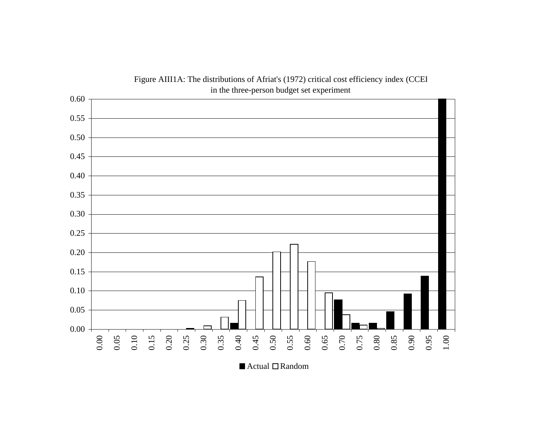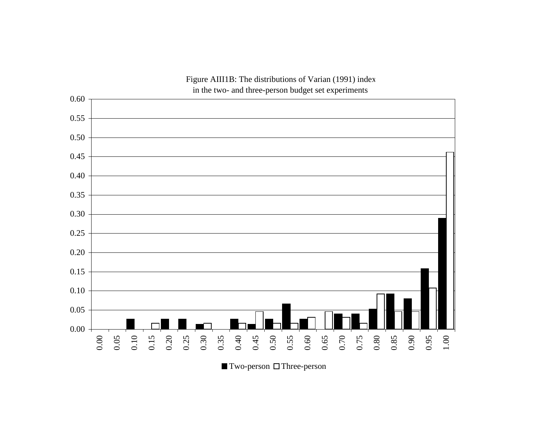

Figure AIII1B: The distributions of Varian (1991) inde x

 $\blacksquare$  Two-person  $\Box$  Three-person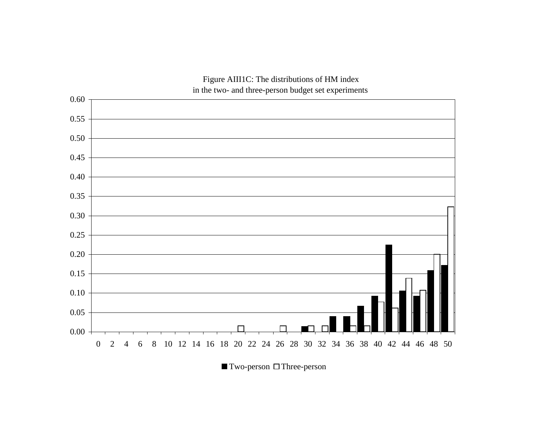